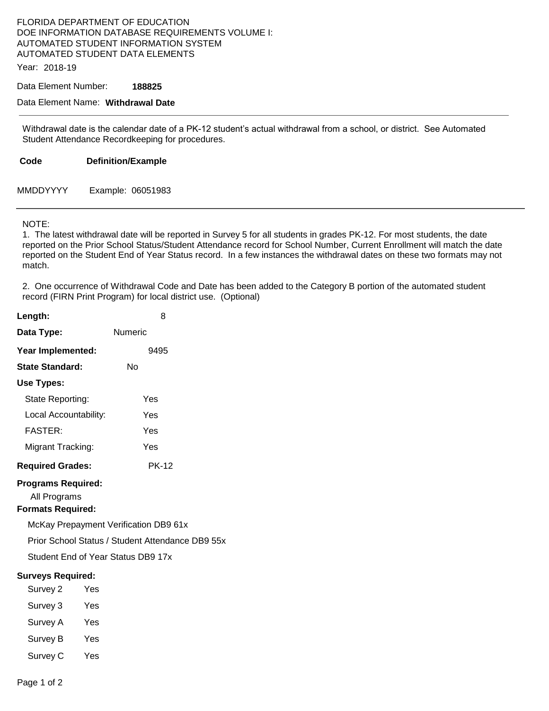## FLORIDA DEPARTMENT OF EDUCATION DOE INFORMATION DATABASE REQUIREMENTS VOLUME I: AUTOMATED STUDENT INFORMATION SYSTEM AUTOMATED STUDENT DATA ELEMENTS

Year: 2018-19

Data Element Number: **188825** 

Data Element Name: **Withdrawal Date** 

Withdrawal date is the calendar date of a PK-12 student's actual withdrawal from a school, or district. See Automated Student Attendance Recordkeeping for procedures.

**Code Definition/Example** 

MMDDYYYY Example: 06051983

## NOTE:

1. The latest withdrawal date will be reported in Survey 5 for all students in grades PK-12. For most students, the date reported on the Prior School Status/Student Attendance record for School Number, Current Enrollment will match the date reported on the Student End of Year Status record. In a few instances the withdrawal dates on these two formats may not match.

2. One occurrence of Withdrawal Code and Date has been added to the Category B portion of the automated student record (FIRN Print Program) for local district use. (Optional)

| Length:                                                               | 8                                                |
|-----------------------------------------------------------------------|--------------------------------------------------|
| Data Type:                                                            | Numeric                                          |
| Year Implemented:                                                     | 9495                                             |
| <b>State Standard:</b>                                                | Nο                                               |
| <b>Use Types:</b>                                                     |                                                  |
| State Reporting:                                                      | Yes                                              |
| Local Accountability:                                                 | Yes                                              |
| <b>FASTER:</b>                                                        | Yes                                              |
| Migrant Tracking:                                                     | Yes                                              |
| <b>Required Grades:</b>                                               | <b>PK-12</b>                                     |
| <b>Programs Required:</b><br>All Programs<br><b>Formats Required:</b> |                                                  |
|                                                                       | McKay Prepayment Verification DB9 61x            |
|                                                                       | Prior School Status / Student Attendance DB9 55x |
|                                                                       | Student End of Year Status DB9 17x               |
| <b>Surveys Required:</b>                                              |                                                  |
| Survey 2                                                              | Yes                                              |
| Survey 3                                                              | Yes                                              |
| Survey A Yes                                                          |                                                  |
| Survey B                                                              | Yes                                              |
| Survey C                                                              | Yes                                              |